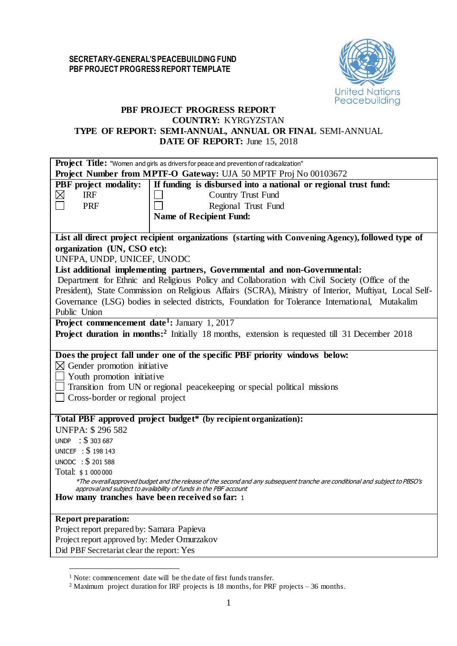## **SECRETARY-GENERAL'S PEACEBUILDING FUND PBF PROJECT PROGRESS REPORT TEMPLATE**



# **PBF PROJECT PROGRESS REPORT COUNTRY:** KYRGYZSTAN **TYPE OF REPORT: SEMI-ANNUAL, ANNUAL OR FINAL** SEMI-ANNUAL **DATE OF REPORT:** June 15, 2018

| Project Title: "Women and girls as drivers for peace and prevention of radicalization"                                                                                                                                                                                                      |
|---------------------------------------------------------------------------------------------------------------------------------------------------------------------------------------------------------------------------------------------------------------------------------------------|
| Project Number from MPTF-O Gateway: UJA 50 MPTF Proj No 00103672                                                                                                                                                                                                                            |
| If funding is disbursed into a national or regional trust fund:<br><b>PBF</b> project modality:<br>$\boxtimes$<br><b>IRF</b><br>Country Trust Fund<br>Regional Trust Fund<br>PRF<br><b>Name of Recipient Fund:</b>                                                                          |
| List all direct project recipient organizations (starting with Convening Agency), followed type of                                                                                                                                                                                          |
| organization (UN, CSO etc):                                                                                                                                                                                                                                                                 |
| UNFPA, UNDP, UNICEF, UNODC                                                                                                                                                                                                                                                                  |
| List additional implementing partners, Governmental and non-Governmental:                                                                                                                                                                                                                   |
| Department for Ethnic and Religious Policy and Collaboration with Civil Society (Office of the                                                                                                                                                                                              |
| President), State Commission on Religious Affairs (SCRA), Ministry of Interior, Muftiyat, Local Self-                                                                                                                                                                                       |
| Governance (LSG) bodies in selected districts, Foundation for Tolerance International, Mutakalim                                                                                                                                                                                            |
| Public Union                                                                                                                                                                                                                                                                                |
| Project commencement date <sup>1</sup> : January 1, 2017                                                                                                                                                                                                                                    |
| <b>Project duration in months:</b> <sup>2</sup> Initially 18 months, extension is requested till 31 December 2018                                                                                                                                                                           |
| Does the project fall under one of the specific PBF priority windows below:<br>$\boxtimes$ Gender promotion initiative<br>$\Box$ Youth promotion initiative<br>$\Box$ Transition from UN or regional peace keeping or special political missions<br>$\Box$ Cross-border or regional project |
| Total PBF approved project budget* (by recipient organization):                                                                                                                                                                                                                             |
| <b>UNFPA: \$296582</b>                                                                                                                                                                                                                                                                      |
| UNDP : $$303687$                                                                                                                                                                                                                                                                            |
| UNICEF : \$198 143                                                                                                                                                                                                                                                                          |
| UNODC : \$ 201 588                                                                                                                                                                                                                                                                          |
| Total: \$1 000 000<br>*The overall approved budget and the release of the second and any subsequent tranche are conditional and subject to PBSO's                                                                                                                                           |
| approval and subject to availability of funds in the PBF account                                                                                                                                                                                                                            |
| How many tranches have been received so far: 1                                                                                                                                                                                                                                              |
| <b>Report preparation:</b>                                                                                                                                                                                                                                                                  |
| Project report prepared by: Samara Papieva                                                                                                                                                                                                                                                  |
| Project report approved by: Meder Omurzakov                                                                                                                                                                                                                                                 |
| Did PBF Secretariat clear the report: Yes                                                                                                                                                                                                                                                   |

 $\overline{a}$ 

<sup>1</sup> Note: commencement date will be the date of first funds transfer.

<sup>2</sup> Maximum project duration for IRF projects is 18 months, for PRF projects – 36 months.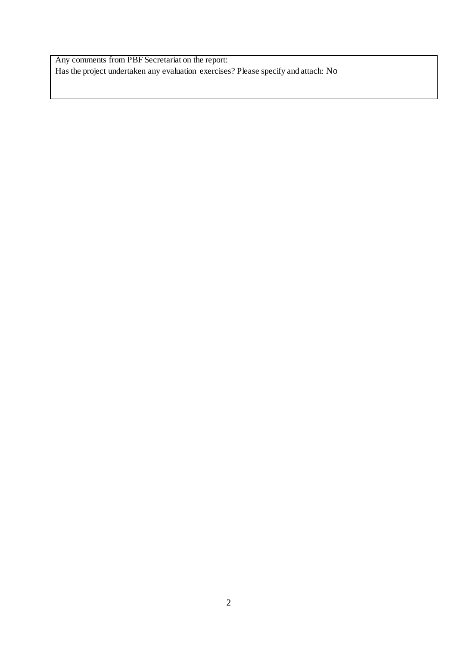Any comments from PBF Secretariat on the report: Has the project undertaken any evaluation exercises? Please specify and attach: No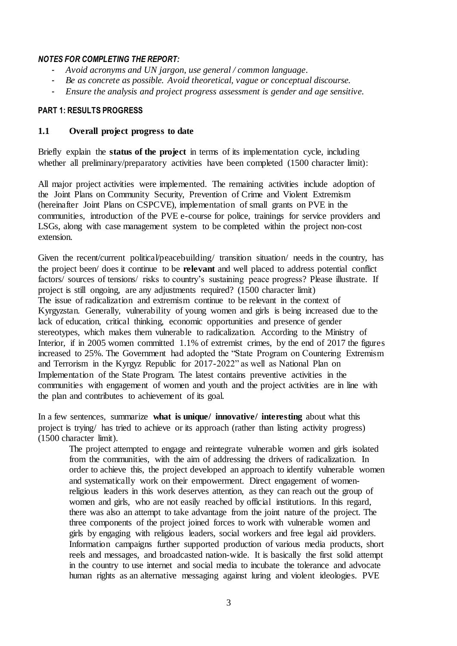# *NOTES FOR COMPLETING THE REPORT:*

- *Avoid acronyms and UN jargon, use general / common language.*
- *Be as concrete as possible. Avoid theoretical, vague or conceptual discourse.*
- *Ensure the analysis and project progress assessment is gender and age sensitive.*

# **PART 1: RESULTS PROGRESS**

# **1.1 Overall project progress to date**

Briefly explain the **status of the project** in terms of its implementation cycle, including whether all preliminary/preparatory activities have been completed (1500 character limit):

All major project activities were implemented. The remaining activities include adoption of the Joint Plans on Community Security, Prevention of Crime and Violent Extremism (hereinafter Joint Plans on CSPCVE), implementation of small grants on PVE in the communities, introduction of the PVE e-course for police, trainings for service providers and LSGs, along with case management system to be completed within the project non-cost extension.

Given the recent/current political/peacebuilding/ transition situation/ needs in the country, has the project been/ does it continue to be **relevant** and well placed to address potential conflict factors/ sources of tensions/ risks to country's sustaining peace progress? Please illustrate. If project is still ongoing, are any adjustments required? (1500 character limit) The issue of radicalization and extremism continue to be relevant in the context of Kyrgyzstan. Generally, vulnerability of young women and girls is being increased due to the lack of education, critical thinking, economic opportunities and presence of gender stereotypes, which makes them vulnerable to radicalization. According to the Ministry of Interior, if in 2005 women committed 1.1% of extremist crimes, by the end of 2017 the figures increased to 25%. The Government had adopted the "State Program on Countering Extremism and Terrorism in the Kyrgyz Republic for 2017-2022" as well as National Plan on Implementation of the State Program. The latest contains preventive activities in the communities with engagement of women and youth and the project activities are in line with the plan and contributes to achievement of its goal.

In a few sentences, summarize **what is unique/ innovative/ interesting** about what this project is trying/ has tried to achieve or its approach (rather than listing activity progress) (1500 character limit).

The project attempted to engage and reintegrate vulnerable women and girls isolated from the communities, with the aim of addressing the drivers of radicalization. In order to achieve this, the project developed an approach to identify vulnerable women and systematically work on their empowerment. Direct engagement of womenreligious leaders in this work deserves attention, as they can reach out the group of women and girls, who are not easily reached by official institutions. In this regard, there was also an attempt to take advantage from the joint nature of the project. The three components of the project joined forces to work with vulnerable women and girls by engaging with religious leaders, social workers and free legal aid providers. Information campaigns further supported production of various media products, short reels and messages, and broadcasted nation-wide. It is basically the first solid attempt in the country to use internet and social media to incubate the tolerance and advocate human rights as an alternative messaging against luring and violent ideologies. PVE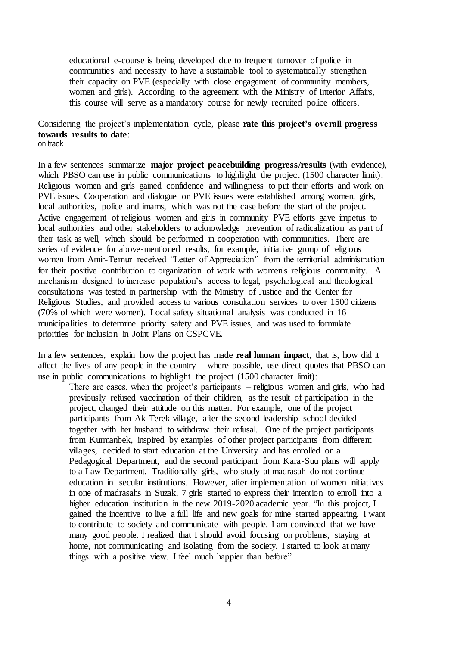educational e-course is being developed due to frequent turnover of police in communities and necessity to have a sustainable tool to systematically strengthen their capacity on PVE (especially with close engagement of community members, women and girls). According to the agreement with the Ministry of Interior Affairs, this course will serve as a mandatory course for newly recruited police officers.

#### Considering the project's implementation cycle, please **rate this project's overall progress towards results to date**: on track

In a few sentences summarize **major project peacebuilding progress/results** (with evidence), which PBSO can use in public communications to highlight the project (1500 character limit): Religious women and girls gained confidence and willingness to put their efforts and work on PVE issues. Cooperation and dialogue on PVE issues were established among women, girls, local authorities, police and imams, which was not the case before the start of the project. Active engagement of religious women and girls in community PVE efforts gave impetus to local authorities and other stakeholders to acknowledge prevention of radicalization as part of their task as well, which should be performed in cooperation with communities. There are series of evidence for above-mentioned results, for example, initiative group of religious women from Amir-Temur received "Letter of Appreciation" from the territorial administration for their positive contribution to organization of work with women's religious community. A mechanism designed to increase population's access to legal, psychological and theological consultations was tested in partnership with the Ministry of Justice and the Center for Religious Studies, and provided access to various consultation services to over 1500 citizens (70% of which were women). Local safety situational analysis was conducted in 16 municipalities to determine priority safety and PVE issues, and was used to formulate priorities for inclusion in Joint Plans on CSPCVE.

In a few sentences, explain how the project has made **real human impact**, that is, how did it affect the lives of any people in the country – where possible, use direct quotes that PBSO can use in public communications to highlight the project (1500 character limit):

There are cases, when the project's participants – religious women and girls, who had previously refused vaccination of their children, as the result of participation in the project, changed their attitude on this matter. For example, one of the project participants from Ak-Terek village, after the second leadership school decided together with her husband to withdraw their refusal. One of the project participants from Kurmanbek, inspired by examples of other project participants from different villages, decided to start education at the University and has enrolled on a Pedagogical Department, and the second participant from Kara-Suu plans will apply to a Law Department. Traditionally girls, who study at madrasah do not continue education in secular institutions. However, after implementation of women initiatives in one of madrasahs in Suzak, 7 girls started to express their intention to enroll into a higher education institution in the new 2019-2020 academic year. "In this project, I gained the incentive to live a full life and new goals for mine started appearing. I want to contribute to society and communicate with people. I am convinced that we have many good people. I realized that I should avoid focusing on problems, staying at home, not communicating and isolating from the society. I started to look at many things with a positive view. I feel much happier than before".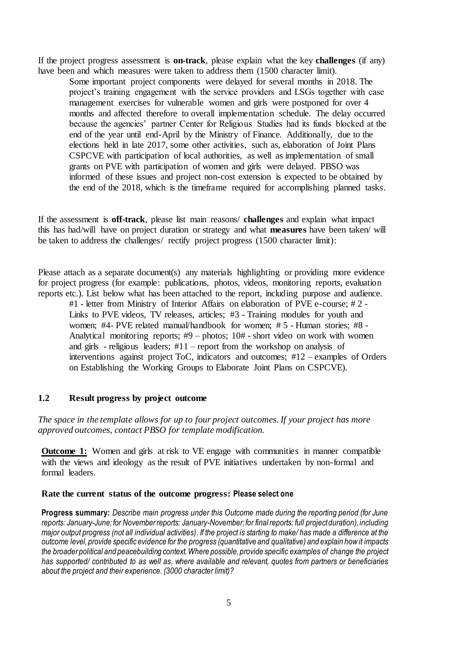If the project progress assessment is **on-track**, please explain what the key **challenges** (if any) have been and which measures were taken to address them (1500 character limit).

Some important project components were delayed for several months in 2018. The project's training engagement with the service providers and LSGs together with case management exercises for vulnerable women and girls were postponed for over 4 months and affected therefore to overall implementation schedule. The delay occurred because the agencies' partner Center for Religious Studies had its funds blocked at the end of the year until end-April by the Ministry of Finance. Additionally, due to the elections held in late 2017, some other activities, such as, elaboration of Joint Plans CSPCVE with participation of local authorities, as well as implementation of small grants on PVE with participation of women and girls were delayed. PBSO was informed of these issues and project non-cost extension is expected to be obtained by the end of the 2018, which is the timeframe required for accomplishing planned tasks.

If the assessment is **off-track**, please list main reasons/ **challenges** and explain what impact this has had/will have on project duration or strategy and what **measures** have been taken/ will be taken to address the challenges/ rectify project progress (1500 character limit):

Please attach as a separate document(s) any materials highlighting or providing more evidence for project progress (for example: publications, photos, videos, monitoring reports, evaluation reports etc.). List below what has been attached to the report, including purpose and audience.

#1 - letter from Ministry of Interior Affairs on elaboration of PVE e-course; # 2 - Links to PVE videos, TV releases, articles; #3 - Training modules for youth and women; #4- PVE related manual/handbook for women; # 5 - Human stories; #8 - Analytical monitoring reports; #9 – photos; 10# - short video on work with women and girls - religious leaders;  $#11$  – report from the workshop on analysis of interventions against project ToC, indicators and outcomes; #12 – examples of Orders on Establishing the Working Groups to Elaborate Joint Plans on CSPCVE).

### **1.2 Result progress by project outcome**

### *The space in the template allows for up to four project outcomes. If your project has more approved outcomes, contact PBSO for template modification.*

**Outcome 1:** Women and girls at risk to VE engage with communities in manner compatible with the views and ideology as the result of PVE initiatives undertaken by non-formal and formal leaders.

#### **Rate the current status of the outcome progress: Please select one**

**Progress summary:** *Describe main progress under this Outcome made during the reporting period (for June reports: January-June; for November reports: January-November; for final reports: full project duration), including major output progress (not all individual activities). If the project is starting to make/ has made a difference at the outcome level, provide specific evidence for the progress (quantitative and qualitative) and explain how it impacts the broader political and peacebuilding context. Where possible, provide specific examples of change the project has supported/ contributed to as well as, where available and relevant, quotes from partners or beneficiaries about the project and their experience. (3000 character limit)?*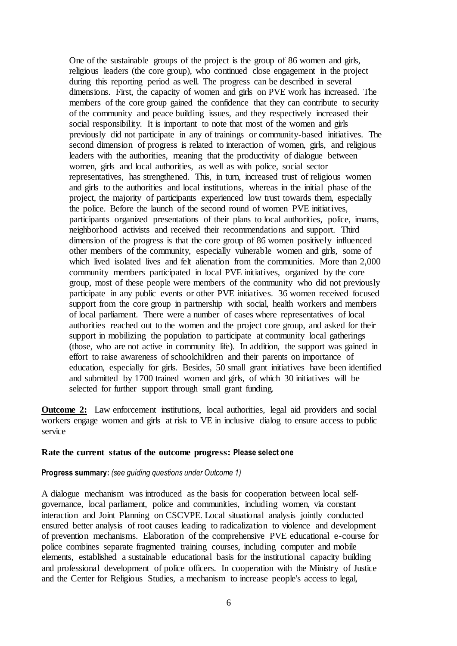One of the sustainable groups of the project is the group of 86 women and girls, religious leaders (the core group), who continued close engagement in the project during this reporting period as well. The progress can be described in several dimensions. First, the capacity of women and girls on PVE work has increased. The members of the core group gained the confidence that they can contribute to security of the community and peace building issues, and they respectively increased their social responsibility. It is important to note that most of the women and girls previously did not participate in any of trainings or community-based initiatives. The second dimension of progress is related to interaction of women, girls, and religious leaders with the authorities, meaning that the productivity of dialogue between women, girls and local authorities, as well as with police, social sector representatives, has strengthened. This, in turn, increased trust of religious women and girls to the authorities and local institutions, whereas in the initial phase of the project, the majority of participants experienced low trust towards them, especially the police. Before the launch of the second round of women PVE initiatives, participants organized presentations of their plans to local authorities, police, imams, neighborhood activists and received their recommendations and support. Third dimension of the progress is that the core group of 86 women positively influenced other members of the community, especially vulnerable women and girls, some of which lived isolated lives and felt alienation from the communities. More than 2,000 community members participated in local PVE initiatives, organized by the core group, most of these people were members of the community who did not previously participate in any public events or other PVE initiatives. 36 women received focused support from the core group in partnership with social, health workers and members of local parliament. There were a number of cases where representatives of local authorities reached out to the women and the project core group, and asked for their support in mobilizing the population to participate at community local gatherings (those, who are not active in community life). In addition, the support was gained in effort to raise awareness of schoolchildren and their parents on importance of education, especially for girls. Besides, 50 small grant initiatives have been identified and submitted by 1700 trained women and girls, of which 30 initiatives will be selected for further support through small grant funding.

**Outcome 2:** Law enforcement institutions, local authorities, legal aid providers and social workers engage women and girls at risk to VE in inclusive dialog to ensure access to public service

#### **Rate the current status of the outcome progress: Please select one**

#### **Progress summary:** *(see guiding questions under Outcome 1)*

A dialogue mechanism was introduced as the basis for cooperation between local selfgovernance, local parliament, police and communities, including women, via constant interaction and Joint Planning on CSCVPE. Local situational analysis jointly conducted ensured better analysis of root causes leading to radicalization to violence and development of prevention mechanisms. Elaboration of the comprehensive PVE educational e-course for police combines separate fragmented training courses, including computer and mobile elements, established a sustainable educational basis for the institutional capacity building and professional development of police officers. In cooperation with the Ministry of Justice and the Center for Religious Studies, a mechanism to increase people's access to legal,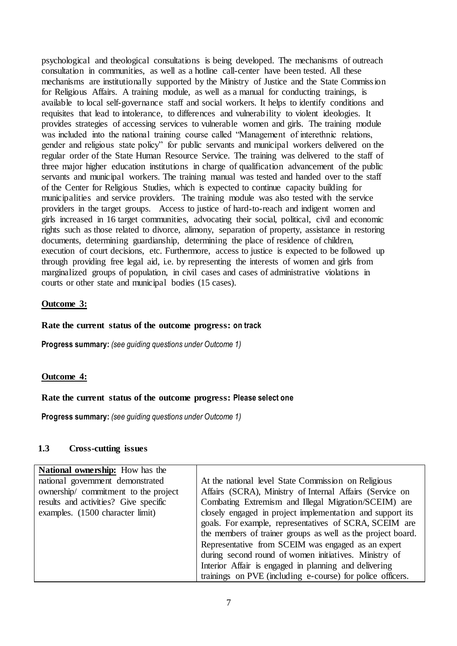psychological and theological consultations is being developed. The mechanisms of outreach consultation in communities, as well as a hotline call-center have been tested. All these mechanisms are institutionally supported by the Ministry of Justice and the State Commission for Religious Affairs. A training module, as well as a manual for conducting trainings, is available to local self-governance staff and social workers. It helps to identify conditions and requisites that lead to intolerance, to differences and vulnerability to violent ideologies. It provides strategies of accessing services to vulnerable women and girls. The training module was included into the national training course called "Management of interethnic relations, gender and religious state policy" for public servants and municipal workers delivered on the regular order of the State Human Resource Service. The training was delivered to the staff of three major higher education institutions in charge of qualification advancement of the public servants and municipal workers. The training manual was tested and handed over to the staff of the Center for Religious Studies, which is expected to continue capacity building for municipalities and service providers. The training module was also tested with the service providers in the target groups. Access to justice of hard-to-reach and indigent women and girls increased in 16 target communities, advocating their social, political, civil and economic rights such as those related to divorce, alimony, separation of property, assistance in restoring documents, determining guardianship, determining the place of residence of children, execution of court decisions, etc. Furthermore, access to justice is expected to be followed up through providing free legal aid, i.e. by representing the interests of women and girls from marginalized groups of population, in civil cases and cases of administrative violations in courts or other state and municipal bodies (15 cases).

## **Outcome 3:**

## **Rate the current status of the outcome progress: on track**

**Progress summary:** *(see guiding questions under Outcome 1)* 

## **Outcome 4:**

#### **Rate the current status of the outcome progress: Please select one**

**Progress summary:** *(see guiding questions under Outcome 1)* 

# **1.3 Cross-cutting issues**

| <b>National ownership:</b> How has the |                                                                                                                                                                                    |
|----------------------------------------|------------------------------------------------------------------------------------------------------------------------------------------------------------------------------------|
| national government demonstrated       | At the national level State Commission on Religious                                                                                                                                |
| ownership/commitment to the project    | Affairs (SCRA), Ministry of Internal Affairs (Service on                                                                                                                           |
| results and activities? Give specific  | Combating Extremism and Illegal Migration/SCEIM) are                                                                                                                               |
| examples. (1500 character limit)       | closely engaged in project implementation and support its<br>goals. For example, representatives of SCRA, SCEIM are<br>the members of trainer groups as well as the project board. |
|                                        | Representative from SCEIM was engaged as an expert                                                                                                                                 |
|                                        | during second round of women initiatives. Ministry of                                                                                                                              |
|                                        | Interior Affair is engaged in planning and delivering                                                                                                                              |
|                                        | trainings on PVE (including e-course) for police officers.                                                                                                                         |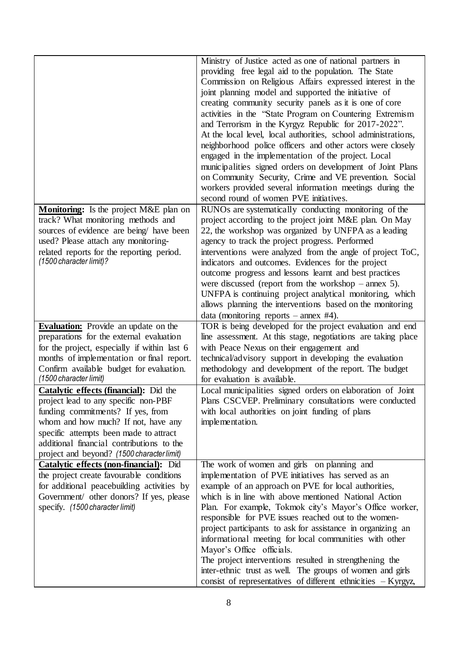|                                               | Ministry of Justice acted as one of national partners in                                                                   |
|-----------------------------------------------|----------------------------------------------------------------------------------------------------------------------------|
|                                               | providing free legal aid to the population. The State                                                                      |
|                                               | Commission on Religious Affairs expressed interest in the                                                                  |
|                                               | joint planning model and supported the initiative of                                                                       |
|                                               | creating community security panels as it is one of core                                                                    |
|                                               | activities in the "State Program on Countering Extremism                                                                   |
|                                               | and Terrorism in the Kyrgyz Republic for 2017-2022".                                                                       |
|                                               |                                                                                                                            |
|                                               | At the local level, local authorities, school administrations,                                                             |
|                                               | neighborhood police officers and other actors were closely                                                                 |
|                                               | engaged in the implementation of the project. Local                                                                        |
|                                               | municipalities signed orders on development of Joint Plans                                                                 |
|                                               | on Community Security, Crime and VE prevention. Social                                                                     |
|                                               | workers provided several information meetings during the                                                                   |
|                                               | second round of women PVE initiatives.                                                                                     |
| <b>Monitoring:</b> Is the project M&E plan on | RUNOs are systematically conducting monitoring of the                                                                      |
| track? What monitoring methods and            | project according to the project joint M&E plan. On May                                                                    |
| sources of evidence are being/ have been      | 22, the workshop was organized by UNFPA as a leading                                                                       |
| used? Please attach any monitoring-           | agency to track the project progress. Performed                                                                            |
| related reports for the reporting period.     | interventions were analyzed from the angle of project ToC,                                                                 |
| (1500 character limit)?                       | indicators and outcomes. Evidences for the project                                                                         |
|                                               | outcome progress and lessons learnt and best practices                                                                     |
|                                               | were discussed (report from the workshop $-$ annex 5).                                                                     |
|                                               | UNFPA is continuing project analytical monitoring, which                                                                   |
|                                               | allows planning the interventions based on the monitoring                                                                  |
|                                               | data (monitoring reports – annex $#4$ ).                                                                                   |
|                                               |                                                                                                                            |
|                                               |                                                                                                                            |
| <b>Evaluation:</b> Provide an update on the   | TOR is being developed for the project evaluation and end                                                                  |
| preparations for the external evaluation      | line assessment. At this stage, negotiations are taking place                                                              |
| for the project, especially if within last 6  | with Peace Nexus on their engagement and                                                                                   |
| months of implementation or final report.     | technical/advisory support in developing the evaluation                                                                    |
| Confirm available budget for evaluation.      | methodology and development of the report. The budget                                                                      |
| (1500 character limit)                        | for evaluation is available.                                                                                               |
| Catalytic effects (financial): Did the        | Local municipalities signed orders on elaboration of Joint                                                                 |
| project lead to any specific non-PBF          | Plans CSCVEP. Preliminary consultations were conducted                                                                     |
| funding commitments? If yes, from             | with local authorities on joint funding of plans                                                                           |
| whom and how much? If not, have any           | implementation.                                                                                                            |
| specific attempts been made to attract        |                                                                                                                            |
| additional financial contributions to the     |                                                                                                                            |
| project and beyond? (1500 character limit)    |                                                                                                                            |
| Catalytic effects (non-financial): Did        | The work of women and girls on planning and                                                                                |
| the project create favourable conditions      | implementation of PVE initiatives has served as an                                                                         |
| for additional peacebuilding activities by    | example of an approach on PVE for local authorities,                                                                       |
| Government/ other donors? If yes, please      | which is in line with above mentioned National Action                                                                      |
| specify. (1500 character limit)               | Plan. For example, Tokmok city's Mayor's Office worker,                                                                    |
|                                               | responsible for PVE issues reached out to the women-                                                                       |
|                                               | project participants to ask for assistance in organizing an                                                                |
|                                               | informational meeting for local communities with other                                                                     |
|                                               | Mayor's Office officials.                                                                                                  |
|                                               | The project interventions resulted in strengthening the                                                                    |
|                                               | inter-ethnic trust as well. The groups of women and girls<br>consist of representatives of different ethnicities - Kyrgyz, |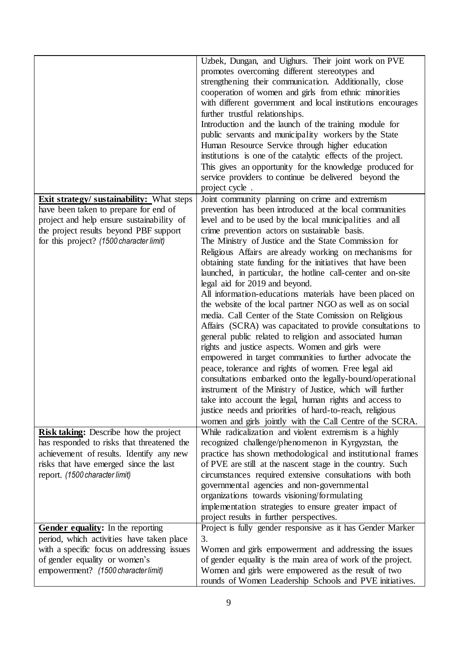|                                                  | Uzbek, Dungan, and Uighurs. Their joint work on PVE          |
|--------------------------------------------------|--------------------------------------------------------------|
|                                                  | promotes overcoming different stereotypes and                |
|                                                  | strengthening their communication. Additionally, close       |
|                                                  | cooperation of women and girls from ethnic minorities        |
|                                                  | with different government and local institutions encourages  |
|                                                  |                                                              |
|                                                  | further trustful relationships.                              |
|                                                  | Introduction and the launch of the training module for       |
|                                                  | public servants and municipality workers by the State        |
|                                                  | Human Resource Service through higher education              |
|                                                  | institutions is one of the catalytic effects of the project. |
|                                                  | This gives an opportunity for the knowledge produced for     |
|                                                  | service providers to continue be delivered beyond the        |
|                                                  | project cycle.                                               |
| <b>Exit strategy/ sustainability:</b> What steps | Joint community planning on crime and extremism              |
| have been taken to prepare for end of            | prevention has been introduced at the local communities      |
| project and help ensure sustainability of        | level and to be used by the local municipalities and all     |
| the project results beyond PBF support           | crime prevention actors on sustainable basis.                |
| for this project? (1500 character limit)         | The Ministry of Justice and the State Commission for         |
|                                                  | Religious Affairs are already working on mechanisms for      |
|                                                  | obtaining state funding for the initiatives that have been   |
|                                                  | launched, in particular, the hotline call-center and on-site |
|                                                  | legal aid for 2019 and beyond.                               |
|                                                  | All information-educations materials have been placed on     |
|                                                  | the website of the local partner NGO as well as on social    |
|                                                  | media. Call Center of the State Comission on Religious       |
|                                                  | Affairs (SCRA) was capacitated to provide consultations to   |
|                                                  | general public related to religion and associated human      |
|                                                  | rights and justice aspects. Women and girls were             |
|                                                  | empowered in target communities to further advocate the      |
|                                                  |                                                              |
|                                                  | peace, tolerance and rights of women. Free legal aid         |
|                                                  | consultations embarked onto the legally-bound/operational    |
|                                                  | instrument of the Ministry of Justice, which will further    |
|                                                  | take into account the legal, human rights and access to      |
|                                                  | justice needs and priorities of hard-to-reach, religious     |
|                                                  | women and girls jointly with the Call Centre of the SCRA.    |
| <b>Risk taking:</b> Describe how the project     | While radicalization and violent extremism is a highly       |
| has responded to risks that threatened the       | recognized challenge/phenomenon in Kyrgyzstan, the           |
| achievement of results. Identify any new         | practice has shown methodological and institutional frames   |
| risks that have emerged since the last           | of PVE are still at the nascent stage in the country. Such   |
| report. (1500 character limit)                   | circumstances required extensive consultations with both     |
|                                                  | governmental agencies and non-governmental                   |
|                                                  | organizations towards visioning/formulating                  |
|                                                  | implementation strategies to ensure greater impact of        |
|                                                  | project results in further perspectives.                     |
| Gender equality: In the reporting                | Project is fully gender responsive as it has Gender Marker   |
| period, which activities have taken place        | 3.                                                           |
| with a specific focus on addressing issues       | Women and girls empowerment and addressing the issues        |
| of gender equality or women's                    | of gender equality is the main area of work of the project.  |
| empowerment? (1500 character limit)              | Women and girls were empowered as the result of two          |
|                                                  | rounds of Women Leadership Schools and PVE initiatives.      |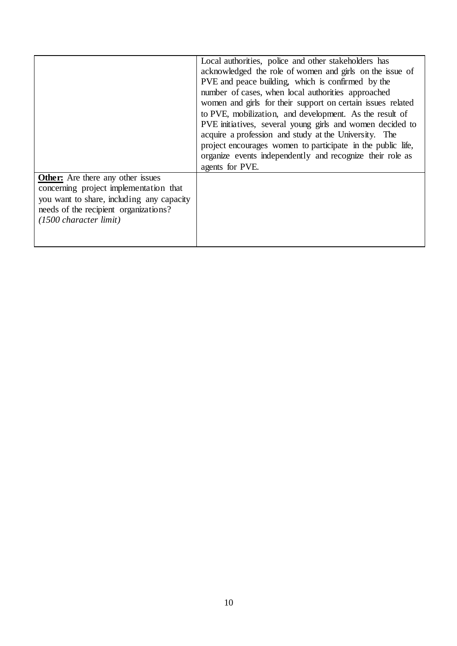|                                                                                                                                                                                                              | Local authorities, police and other stakeholders has<br>acknowledged the role of women and girls on the issue of<br>PVE and peace building, which is confirmed by the<br>number of cases, when local authorities approached<br>women and girls for their support on certain issues related<br>to PVE, mobilization, and development. As the result of<br>PVE initiatives, several young girls and women decided to<br>acquire a profession and study at the University. The<br>project encourages women to participate in the public life,<br>organize events independently and recognize their role as<br>agents for PVE. |
|--------------------------------------------------------------------------------------------------------------------------------------------------------------------------------------------------------------|----------------------------------------------------------------------------------------------------------------------------------------------------------------------------------------------------------------------------------------------------------------------------------------------------------------------------------------------------------------------------------------------------------------------------------------------------------------------------------------------------------------------------------------------------------------------------------------------------------------------------|
| <b>Other:</b> Are there any other issues<br>concerning project implementation that<br>you want to share, including any capacity<br>needs of the recipient organizations?<br>$(1500 \text{ character limit})$ |                                                                                                                                                                                                                                                                                                                                                                                                                                                                                                                                                                                                                            |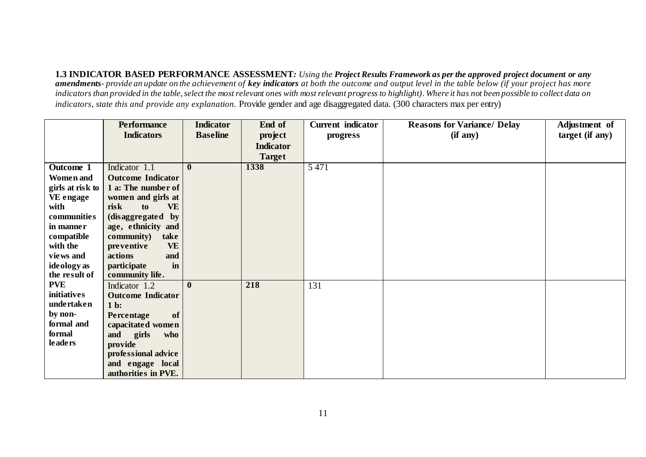**1.3 INDICATOR BASED PERFORMANCE ASSESSMENT***: Using the Project Results Framework as per the approved project document or any amendments- provide an update on the achievement of key indicators at both the outcome and output level in the table below (if your project has more indicators than provided in the table, select the most relevant ones with most relevant progress to highlight). Where it has not been possible to collect data on indicators, state this and provide any explanation.* Provide gender and age disaggregated data. (300 characters max per entry)

|                  | <b>Performance</b>       | <b>Indicator</b> | End of           | <b>Current</b> indicator | <b>Reasons for Variance/ Delay</b> | Adjustment of   |
|------------------|--------------------------|------------------|------------------|--------------------------|------------------------------------|-----------------|
|                  | <b>Indicators</b>        | <b>Baseline</b>  | project          | progress                 | (if any)                           | target (if any) |
|                  |                          |                  | <b>Indicator</b> |                          |                                    |                 |
|                  |                          |                  | <b>Target</b>    |                          |                                    |                 |
| Outcome 1        | Indicator 1.1            | $\bf{0}$         | 1338             | 5 4 7 1                  |                                    |                 |
| <b>Women</b> and | <b>Outcome Indicator</b> |                  |                  |                          |                                    |                 |
| girls at risk to | 1 a: The number of       |                  |                  |                          |                                    |                 |
| VE engage        | women and girls at       |                  |                  |                          |                                    |                 |
| with             | <b>VE</b><br>risk<br>to  |                  |                  |                          |                                    |                 |
| communities      | (disaggregated by        |                  |                  |                          |                                    |                 |
| in manner        | age, ethnicity and       |                  |                  |                          |                                    |                 |
| compatible       | community)<br>take       |                  |                  |                          |                                    |                 |
| with the         | <b>VE</b><br>preventive  |                  |                  |                          |                                    |                 |
| views and        | actions<br>and           |                  |                  |                          |                                    |                 |
| ideology as      | participate<br>in        |                  |                  |                          |                                    |                 |
| the result of    | community life.          |                  |                  |                          |                                    |                 |
| <b>PVE</b>       | Indicator 1.2            | $\mathbf{0}$     | 218              | 131                      |                                    |                 |
| initiatives      | <b>Outcome Indicator</b> |                  |                  |                          |                                    |                 |
| undertaken       | $1b$ :                   |                  |                  |                          |                                    |                 |
| by non-          | of<br>Percentage         |                  |                  |                          |                                    |                 |
| formal and       | capacitated women        |                  |                  |                          |                                    |                 |
| formal           | and<br>girls<br>who      |                  |                  |                          |                                    |                 |
| <b>leaders</b>   | provide                  |                  |                  |                          |                                    |                 |
|                  | professional advice      |                  |                  |                          |                                    |                 |
|                  | and engage local         |                  |                  |                          |                                    |                 |
|                  | authorities in PVE.      |                  |                  |                          |                                    |                 |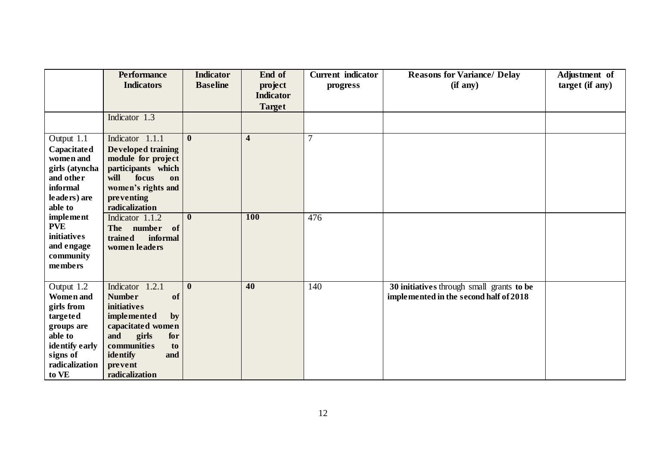|                                                                                                                                     | <b>Performance</b><br><b>Indicators</b>                                                                                                                                                            | <b>Indicator</b><br><b>Baseline</b> | End of<br>project<br><b>Indicator</b> | <b>Current</b> indicator<br>progress | <b>Reasons for Variance/ Delay</b><br>(if any)                                      | Adjustment of<br>target (if any) |
|-------------------------------------------------------------------------------------------------------------------------------------|----------------------------------------------------------------------------------------------------------------------------------------------------------------------------------------------------|-------------------------------------|---------------------------------------|--------------------------------------|-------------------------------------------------------------------------------------|----------------------------------|
|                                                                                                                                     |                                                                                                                                                                                                    |                                     | <b>Target</b>                         |                                      |                                                                                     |                                  |
|                                                                                                                                     | Indicator 1.3                                                                                                                                                                                      |                                     |                                       |                                      |                                                                                     |                                  |
| Output 1.1<br>Capacitated<br>women and<br>girls (atyncha<br>and other<br>informal<br>leaders) are<br>able to                        | Indicator 1.1.1<br><b>Developed training</b><br>module for project<br>participants which<br>will<br>focus<br>on<br>women's rights and<br>preventing<br>radicalization                              | $\mathbf{0}$                        | $\overline{\mathbf{4}}$               | $\overline{7}$                       |                                                                                     |                                  |
| implement<br><b>PVE</b><br>initiatives<br>and engage<br>community<br>members                                                        | Indicator 1.1.2<br>The number of<br>trained<br>informal<br>women leaders                                                                                                                           | $\mathbf{0}$                        | <b>100</b>                            | 476                                  |                                                                                     |                                  |
| Output 1.2<br>Women and<br>girls from<br>targeted<br>groups are<br>able to<br>identify early<br>signs of<br>radicalization<br>to VE | Indicator 1.2.1<br><b>Number</b><br>of<br>initiatives<br><i>implemented</i><br>by<br>capacitated women<br>and<br>girls<br>for<br>communities<br>to<br>identify<br>and<br>prevent<br>radicalization | $\bf{0}$                            | 40                                    | 140                                  | 30 initiatives through small grants to be<br>implemented in the second half of 2018 |                                  |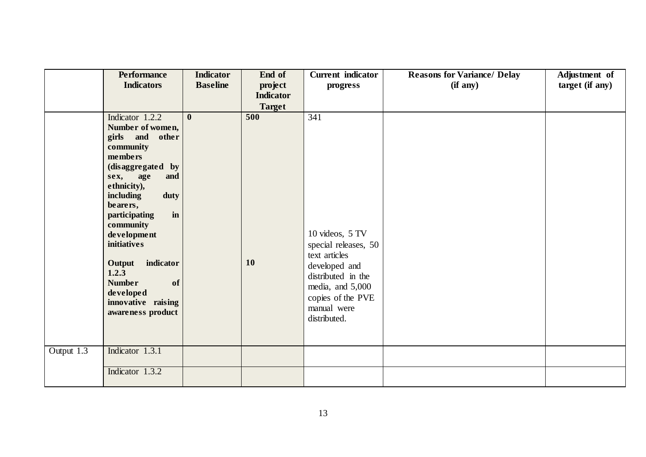|                         | <b>Performance</b>                                                                                                                                                                                                                                                                                                                                   | <b>Indicator</b> | End of           | <b>Current</b> indicator                                                                                                                                                       | <b>Reasons for Variance/ Delay</b> | Adjustment of   |
|-------------------------|------------------------------------------------------------------------------------------------------------------------------------------------------------------------------------------------------------------------------------------------------------------------------------------------------------------------------------------------------|------------------|------------------|--------------------------------------------------------------------------------------------------------------------------------------------------------------------------------|------------------------------------|-----------------|
|                         | <b>Indicators</b>                                                                                                                                                                                                                                                                                                                                    | <b>Baseline</b>  | project          | progress                                                                                                                                                                       | (if any)                           | target (if any) |
|                         |                                                                                                                                                                                                                                                                                                                                                      |                  | <b>Indicator</b> |                                                                                                                                                                                |                                    |                 |
|                         |                                                                                                                                                                                                                                                                                                                                                      |                  | <b>Target</b>    |                                                                                                                                                                                |                                    |                 |
|                         | Indicator 1.2.2<br>Number of women,<br>girls and other<br>community<br>members<br>(disaggregated by<br>sex, age<br>and<br>ethnicity),<br>including<br>duty<br>bearers,<br>participating<br>in<br>community<br>development<br>initiatives<br>Output indicator<br>1.2.3<br><b>Number</b><br>of<br>developed<br>innovative raising<br>awareness product | $\mathbf{0}$     | 500<br>10        | 341<br>10 videos, 5 TV<br>special releases, 50<br>text articles<br>developed and<br>distributed in the<br>media, and 5,000<br>copies of the PVE<br>manual were<br>distributed. |                                    |                 |
|                         |                                                                                                                                                                                                                                                                                                                                                      |                  |                  |                                                                                                                                                                                |                                    |                 |
| Output $1.\overline{3}$ | Indicator 1.3.1                                                                                                                                                                                                                                                                                                                                      |                  |                  |                                                                                                                                                                                |                                    |                 |
|                         | Indicator 1.3.2                                                                                                                                                                                                                                                                                                                                      |                  |                  |                                                                                                                                                                                |                                    |                 |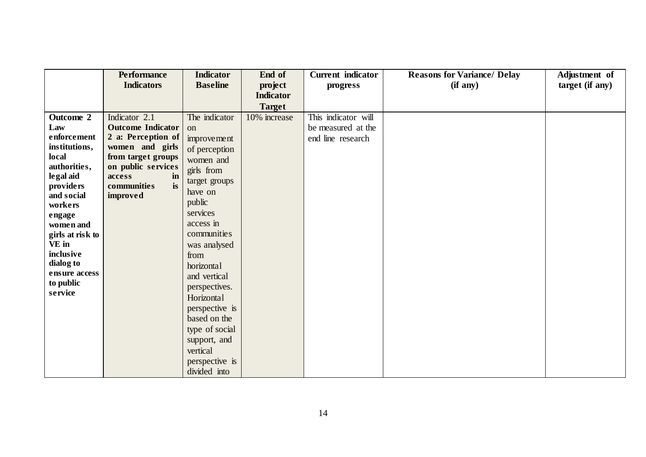|                                | <b>Performance</b>            | <b>Indicator</b> | End of           | <b>Current</b> indicator | <b>Reasons for Variance/ Delay</b> | Adjustment of   |
|--------------------------------|-------------------------------|------------------|------------------|--------------------------|------------------------------------|-----------------|
|                                | <b>Indicators</b>             | <b>Baseline</b>  | project          | progress                 | (if any)                           | target (if any) |
|                                |                               |                  | <b>Indicator</b> |                          |                                    |                 |
|                                |                               |                  | <b>Target</b>    |                          |                                    |                 |
| Outcome 2                      | Indicator 2.1                 | The indicator    | 10% increase     | This indicator will      |                                    |                 |
| Law                            | <b>Outcome Indicator</b>      | <sub>on</sub>    |                  | be measured at the       |                                    |                 |
| enforcement                    | 2 a: Perception of            | improvement      |                  | end line research        |                                    |                 |
| institutions,                  | women and girls               | of perception    |                  |                          |                                    |                 |
| local                          | from target groups            | women and        |                  |                          |                                    |                 |
| authorities,                   | on public services            | girls from       |                  |                          |                                    |                 |
| le gal aid                     | access<br>in                  | target groups    |                  |                          |                                    |                 |
| <i>providers</i><br>and social | is<br>communities<br>improved | have on          |                  |                          |                                    |                 |
| workers                        |                               | public           |                  |                          |                                    |                 |
| engage                         |                               | services         |                  |                          |                                    |                 |
| women and                      |                               | access in        |                  |                          |                                    |                 |
| girls at risk to               |                               | communities      |                  |                          |                                    |                 |
| VE in                          |                               | was analysed     |                  |                          |                                    |                 |
| inclusive                      |                               | from             |                  |                          |                                    |                 |
| dialog to                      |                               | horizontal       |                  |                          |                                    |                 |
| ensure access                  |                               | and vertical     |                  |                          |                                    |                 |
| to public                      |                               | perspectives.    |                  |                          |                                    |                 |
| service                        |                               | Horizontal       |                  |                          |                                    |                 |
|                                |                               | perspective is   |                  |                          |                                    |                 |
|                                |                               | based on the     |                  |                          |                                    |                 |
|                                |                               | type of social   |                  |                          |                                    |                 |
|                                |                               | support, and     |                  |                          |                                    |                 |
|                                |                               | vertical         |                  |                          |                                    |                 |
|                                |                               | perspective is   |                  |                          |                                    |                 |
|                                |                               | divided into     |                  |                          |                                    |                 |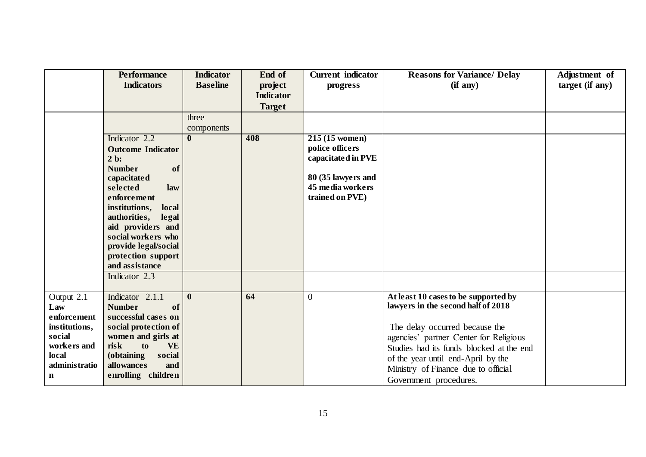|                                                                                                           | <b>Performance</b><br><b>Indicators</b>                                                                                                                                                                                                                                                                 | <b>Indicator</b><br><b>Baseline</b> | End of<br>project<br><b>Indicator</b><br><b>Target</b> | <b>Current</b> indicator<br>progress                                                                                          | <b>Reasons for Variance/ Delay</b><br>(if any)                                                                                                                                                                                                                                                            | Adjustment of<br>$target$ (if any) |
|-----------------------------------------------------------------------------------------------------------|---------------------------------------------------------------------------------------------------------------------------------------------------------------------------------------------------------------------------------------------------------------------------------------------------------|-------------------------------------|--------------------------------------------------------|-------------------------------------------------------------------------------------------------------------------------------|-----------------------------------------------------------------------------------------------------------------------------------------------------------------------------------------------------------------------------------------------------------------------------------------------------------|------------------------------------|
|                                                                                                           | Indicator 2.2<br><b>Outcome Indicator</b><br>$2b$ :<br><b>Number</b><br>of<br>capacitated<br>selected<br>law<br>enforcement<br>institutions,<br>local<br>authorities, legal<br>aid providers and<br>social workers who<br>provide legal/social<br>protection support<br>and assistance<br>Indicator 2.3 | three<br>components<br>$\mathbf{0}$ | 408                                                    | $215(15 \text{ women})$<br>police officers<br>capacitated in PVE<br>80 (35 lawyers and<br>45 media workers<br>trained on PVE) |                                                                                                                                                                                                                                                                                                           |                                    |
| Output 2.1<br>Law<br>enforcement<br>institutions,<br>social<br>workers and<br>local<br>administratio<br>n | Indicator 2.1.1<br><b>Number</b><br>of<br>successful cases on<br>social protection of<br>women and girls at<br>risk<br>to<br><b>VE</b><br>(obtaining<br>social<br>allowances<br>and<br>enrolling children                                                                                               | $\bf{0}$                            | 64                                                     | $\overline{0}$                                                                                                                | At least 10 cases to be supported by<br>lawyers in the second half of 2018<br>The delay occurred because the<br>agencies' partner Center for Religious<br>Studies had its funds blocked at the end<br>of the year until end-April by the<br>Ministry of Finance due to official<br>Government procedures. |                                    |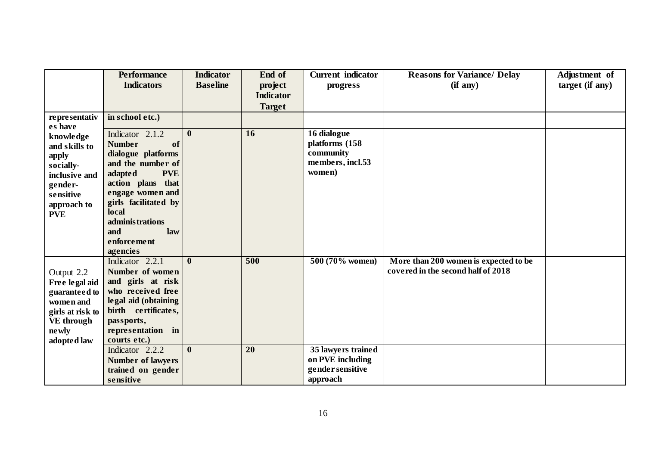|                  | <b>Performance</b>                    | <b>Indicator</b> | End of           | <b>Current</b> indicator      | <b>Reasons for Variance/ Delay</b>    | Adjustment of   |
|------------------|---------------------------------------|------------------|------------------|-------------------------------|---------------------------------------|-----------------|
|                  | <b>Indicators</b>                     | <b>Baseline</b>  | project          | progress                      | (if any)                              | target (if any) |
|                  |                                       |                  | <b>Indicator</b> |                               |                                       |                 |
|                  |                                       |                  | <b>Target</b>    |                               |                                       |                 |
| representativ    | in school etc.)                       |                  |                  |                               |                                       |                 |
| es have          |                                       |                  |                  |                               |                                       |                 |
| knowledge        | Indicator 2.1.2                       | $\bf{0}$         | 16               | 16 dialogue                   |                                       |                 |
| and skills to    | <b>Number</b><br>of                   |                  |                  | platforms (158                |                                       |                 |
| apply            | dialogue platforms                    |                  |                  | community<br>members, incl.53 |                                       |                 |
| socially-        | and the number of                     |                  |                  | women)                        |                                       |                 |
| inclusive and    | <b>PVE</b><br>adapted                 |                  |                  |                               |                                       |                 |
| gender-          | action plans that<br>engage women and |                  |                  |                               |                                       |                 |
| sensitive        | girls facilitated by                  |                  |                  |                               |                                       |                 |
| approach to      | local                                 |                  |                  |                               |                                       |                 |
| <b>PVE</b>       | administrations                       |                  |                  |                               |                                       |                 |
|                  | and<br>law                            |                  |                  |                               |                                       |                 |
|                  | enforcement                           |                  |                  |                               |                                       |                 |
|                  | agencies                              |                  |                  |                               |                                       |                 |
|                  | Indicator 2.2.1                       | $\mathbf{0}$     | 500              | 500 (70% women)               | More than 200 women is expected to be |                 |
| Output 2.2       | Number of women                       |                  |                  |                               | covered in the second half of 2018    |                 |
| Free legal aid   | and girls at risk                     |                  |                  |                               |                                       |                 |
| guaranteed to    | who received free                     |                  |                  |                               |                                       |                 |
| women and        | legal aid (obtaining                  |                  |                  |                               |                                       |                 |
| girls at risk to | birth certificates,                   |                  |                  |                               |                                       |                 |
| VE through       | passports,                            |                  |                  |                               |                                       |                 |
| ne wly           | representation in                     |                  |                  |                               |                                       |                 |
| adopted law      | courts etc.)                          |                  |                  |                               |                                       |                 |
|                  | Indicator 2.2.2                       | $\mathbf{0}$     | 20               | 35 lawyers trained            |                                       |                 |
|                  | <b>Number of lawyers</b>              |                  |                  | on PVE including              |                                       |                 |
|                  | trained on gender                     |                  |                  | gender sensitive              |                                       |                 |
|                  | sensitive                             |                  |                  | approach                      |                                       |                 |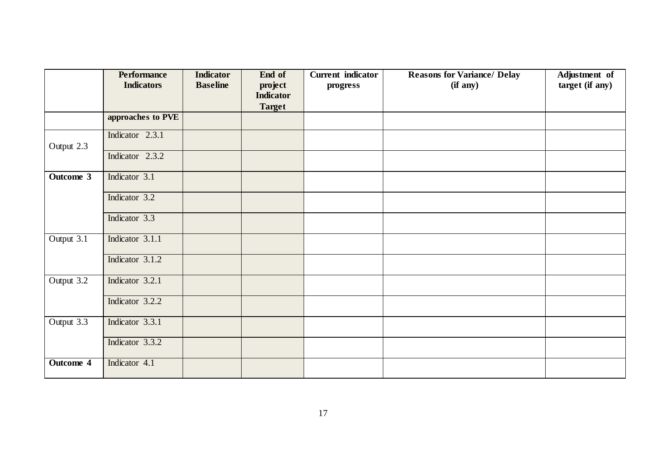|            | <b>Performance</b> | <b>Indicator</b> | End of                      | <b>Current</b> indicator | <b>Reasons for Variance/ Delay</b> | Adjustment of   |
|------------|--------------------|------------------|-----------------------------|--------------------------|------------------------------------|-----------------|
|            | <b>Indicators</b>  | <b>Baseline</b>  | project<br><b>Indicator</b> | progress                 | (if any)                           | target (if any) |
|            |                    |                  | <b>Target</b>               |                          |                                    |                 |
|            | approaches to PVE  |                  |                             |                          |                                    |                 |
| Output 2.3 | Indicator 2.3.1    |                  |                             |                          |                                    |                 |
|            | Indicator 2.3.2    |                  |                             |                          |                                    |                 |
| Outcome 3  | Indicator 3.1      |                  |                             |                          |                                    |                 |
|            | Indicator 3.2      |                  |                             |                          |                                    |                 |
|            | Indicator 3.3      |                  |                             |                          |                                    |                 |
| Output 3.1 | Indicator 3.1.1    |                  |                             |                          |                                    |                 |
|            | Indicator 3.1.2    |                  |                             |                          |                                    |                 |
| Output 3.2 | Indicator 3.2.1    |                  |                             |                          |                                    |                 |
|            | Indicator 3.2.2    |                  |                             |                          |                                    |                 |
| Output 3.3 | Indicator 3.3.1    |                  |                             |                          |                                    |                 |
|            | Indicator 3.3.2    |                  |                             |                          |                                    |                 |
| Outcome 4  | Indicator 4.1      |                  |                             |                          |                                    |                 |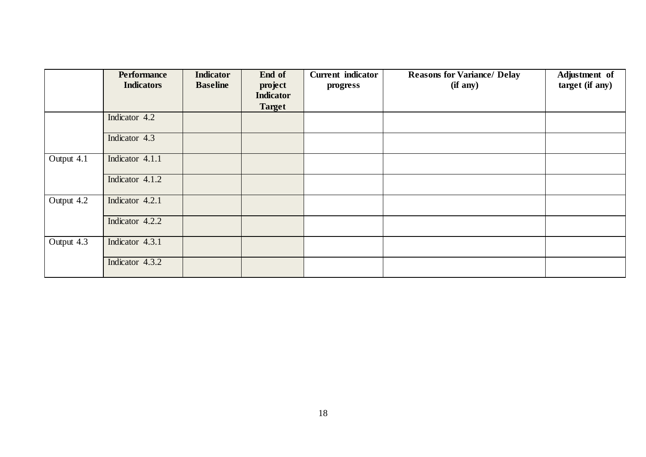|            | <b>Performance</b><br><b>Indicators</b> | <b>Indicator</b><br><b>Baseline</b> | End of<br>project<br><b>Indicator</b><br><b>Target</b> | <b>Current</b> indicator<br>progress | <b>Reasons for Variance/ Delay</b><br>(if any) | Adjustment of<br>target (if any) |
|------------|-----------------------------------------|-------------------------------------|--------------------------------------------------------|--------------------------------------|------------------------------------------------|----------------------------------|
|            | Indicator 4.2                           |                                     |                                                        |                                      |                                                |                                  |
|            | Indicator 4.3                           |                                     |                                                        |                                      |                                                |                                  |
| Output 4.1 | Indicator 4.1.1                         |                                     |                                                        |                                      |                                                |                                  |
|            | Indicator 4.1.2                         |                                     |                                                        |                                      |                                                |                                  |
| Output 4.2 | Indicator 4.2.1                         |                                     |                                                        |                                      |                                                |                                  |
|            | Indicator 4.2.2                         |                                     |                                                        |                                      |                                                |                                  |
| Output 4.3 | Indicator 4.3.1                         |                                     |                                                        |                                      |                                                |                                  |
|            | Indicator 4.3.2                         |                                     |                                                        |                                      |                                                |                                  |